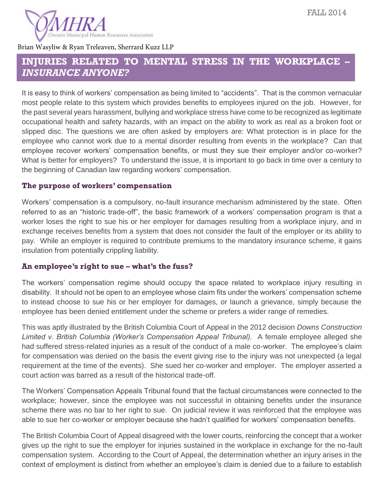

## Brian Wasyliw & Ryan Treleaven, Sherrard Kuzz LLP

# **INJURIES RELATED TO MENTAL STRESS IN THE WORKPLACE –** *INSURANCE ANYONE?*

It is easy to think of workers' compensation as being limited to "accidents". That is the common vernacular most people relate to this system which provides benefits to employees injured on the job. However, for the past several years harassment, bullying and workplace stress have come to be recognized as legitimate occupational health and safety hazards, with an impact on the ability to work as real as a broken foot or slipped disc. The questions we are often asked by employers are: What protection is in place for the employee who cannot work due to a mental disorder resulting from events in the workplace? Can that employee recover workers' compensation benefits, or must they sue their employer and/or co-worker? What is better for employers? To understand the issue, it is important to go back in time over a century to the beginning of Canadian law regarding workers' compensation.

# **The purpose of workers' compensation**

Workers' compensation is a compulsory, no-fault insurance mechanism administered by the state. Often referred to as an "historic trade-off", the basic framework of a workers' compensation program is that a worker loses the right to sue his or her employer for damages resulting from a workplace injury, and in exchange receives benefits from a system that does not consider the fault of the employer or its ability to pay. While an employer is required to contribute premiums to the mandatory insurance scheme, it gains insulation from potentially crippling liability.

# **An employee's right to sue – what's the fuss?**

The workers' compensation regime should occupy the space related to workplace injury resulting in disability. It should not be open to an employee whose claim fits under the workers' compensation scheme to instead choose to sue his or her employer for damages, or launch a grievance, simply because the employee has been denied entitlement under the scheme or prefers a wider range of remedies.

This was aptly illustrated by the British Columbia Court of Appeal in the 2012 decision *Downs Construction Limited v. British Columbia (Worker's Compensation Appeal Tribunal).* A female employee alleged she had suffered stress-related injuries as a result of the conduct of a male co-worker. The employee's claim for compensation was denied on the basis the event giving rise to the injury was not unexpected (a legal requirement at the time of the events). She sued her co-worker and employer. The employer asserted a court action was barred as a result of the historical trade-off.

The Workers' Compensation Appeals Tribunal found that the factual circumstances were connected to the workplace; however, since the employee was not successful in obtaining benefits under the insurance scheme there was no bar to her right to sue. On judicial review it was reinforced that the employee was able to sue her co-worker or employer because she hadn't qualified for workers' compensation benefits.

The British Columbia Court of Appeal disagreed with the lower courts, reinforcing the concept that a worker gives up the right to sue the employer for injuries sustained in the workplace in exchange for the no-fault compensation system. According to the Court of Appeal, the determination whether an injury arises in the context of employment is distinct from whether an employee's claim is denied due to a failure to establish